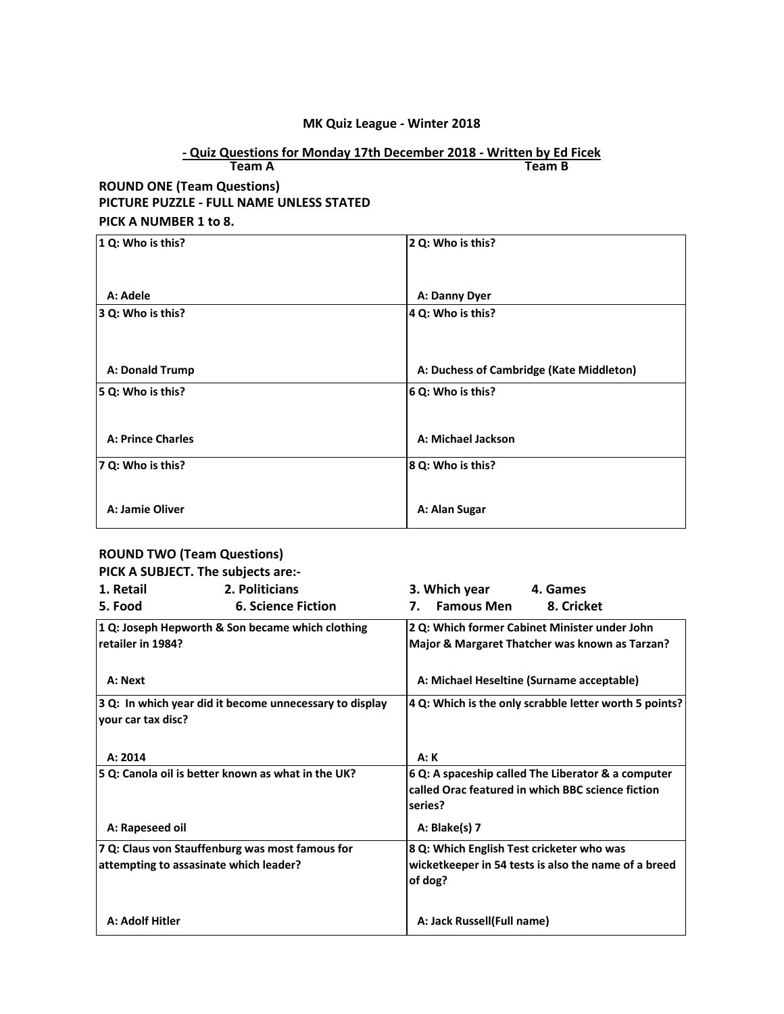#### **MK Quiz League - Winter 2018**

#### **Team A Team B - Quiz Questions for Monday 17th December 2018 - Written by Ed Ficek**

### **ROUND ONE (Team Questions) PICTURE PUZZLE - FULL NAME UNLESS STATED PICK A NUMBER 1 to 8.**

| 1 Q: Who is this?        | 2 Q: Who is this?                        |
|--------------------------|------------------------------------------|
| A: Adele                 | A: Danny Dyer                            |
| 3 Q: Who is this?        | 4 Q: Who is this?                        |
| A: Donald Trump          | A: Duchess of Cambridge (Kate Middleton) |
| 5 Q: Who is this?        | 6 Q: Who is this?                        |
| <b>A: Prince Charles</b> | A: Michael Jackson                       |
| 7 Q: Who is this?        | 8 Q: Who is this?                        |
| A: Jamie Oliver          | A: Alan Sugar                            |

## **ROUND TWO (Team Questions)**

|                    | PICK A SUBJECT. The subjects are:-                      |                                                              |
|--------------------|---------------------------------------------------------|--------------------------------------------------------------|
| 1. Retail          | 2. Politicians                                          | 3. Which year<br>4. Games                                    |
| 5. Food            | <b>6. Science Fiction</b>                               | <b>Famous Men</b><br>8. Cricket<br>7.                        |
|                    | 1 Q: Joseph Hepworth & Son became which clothing        | 2 Q: Which former Cabinet Minister under John                |
| retailer in 1984?  |                                                         | Major & Margaret Thatcher was known as Tarzan?               |
| A: Next            |                                                         | A: Michael Heseltine (Surname acceptable)                    |
| your car tax disc? | 3 Q: In which year did it become unnecessary to display | 4 Q: Which is the only scrabble letter worth 5 points?       |
| A: 2014            |                                                         | A: K                                                         |
|                    | 5 Q: Canola oil is better known as what in the UK?      | 6 Q: A spaceship called The Liberator & a computer           |
|                    |                                                         | called Orac featured in which BBC science fiction<br>series? |
| A: Rapeseed oil    |                                                         | A: Blake(s) 7                                                |
|                    | 7 Q: Claus von Stauffenburg was most famous for         | 8 Q: Which English Test cricketer who was                    |
|                    | attempting to assasinate which leader?                  | wicketkeeper in 54 tests is also the name of a breed         |
|                    |                                                         | of dog?                                                      |
| A: Adolf Hitler    |                                                         | A: Jack Russell(Full name)                                   |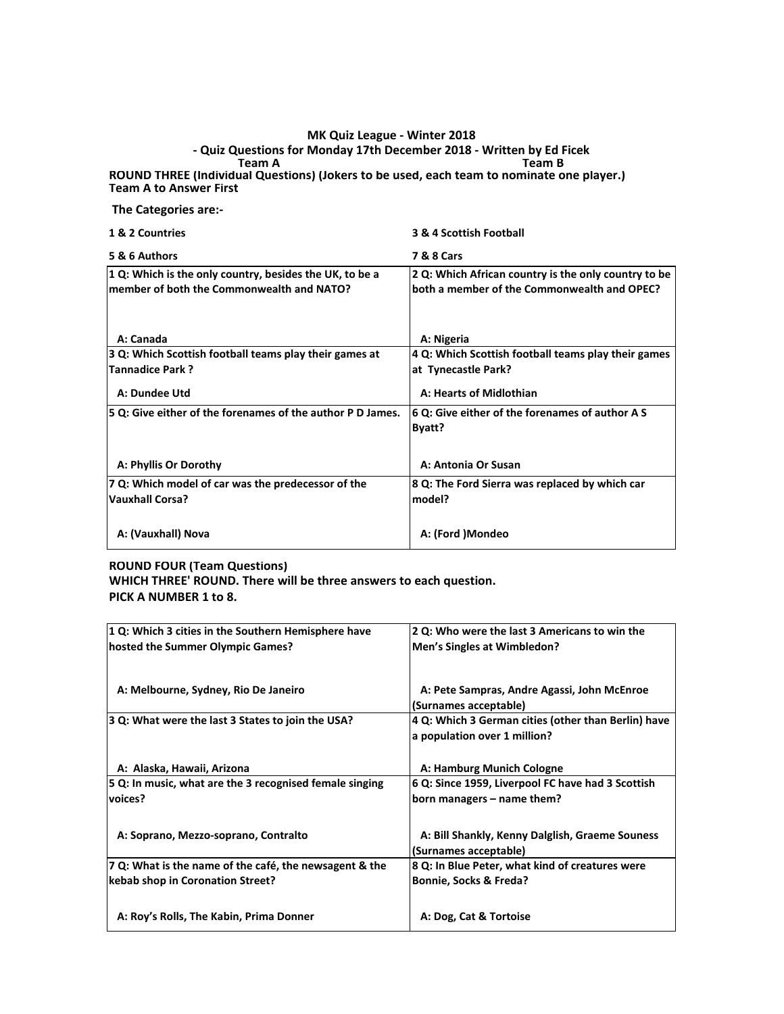#### **Team A Team B ROUND THREE (Individual Questions) (Jokers to be used, each team to nominate one player.) - Quiz Questions for Monday 17th December 2018 - Written by Ed Ficek MK Quiz League - Winter 2018**

**Team A to Answer First** 

 **The Categories are:-**

| 1 & 2 Countries                                                                                      | 3 & 4 Scottish Football                                                                             |
|------------------------------------------------------------------------------------------------------|-----------------------------------------------------------------------------------------------------|
| 5 & 6 Authors                                                                                        | <b>7 &amp; 8 Cars</b>                                                                               |
| 1 Q: Which is the only country, besides the UK, to be a<br>member of both the Commonwealth and NATO? | 2 Q: Which African country is the only country to be<br>both a member of the Commonwealth and OPEC? |
| A: Canada                                                                                            | A: Nigeria                                                                                          |
| 3 Q: Which Scottish football teams play their games at<br><b>Tannadice Park?</b>                     | 4 Q: Which Scottish football teams play their games<br>at Tynecastle Park?                          |
| A: Dundee Utd                                                                                        | A: Hearts of Midlothian                                                                             |
| 5 Q: Give either of the forenames of the author P D James.                                           | 6 Q: Give either of the forenames of author A S<br>Byatt?                                           |
| A: Phyllis Or Dorothy                                                                                | A: Antonia Or Susan                                                                                 |
| 7 Q: Which model of car was the predecessor of the<br><b>Vauxhall Corsa?</b>                         | 8 Q: The Ford Sierra was replaced by which car<br>model?                                            |
| A: (Vauxhall) Nova                                                                                   | A: (Ford )Mondeo                                                                                    |

#### **ROUND FOUR (Team Questions)**

**WHICH THREE' ROUND. There will be three answers to each question. PICK A NUMBER 1 to 8.**

**1 Q: Which 3 cities in the Southern Hemisphere have hosted the Summer Olympic Games? 2 Q: Who were the last 3 Americans to win the Men's Singles at Wimbledon? A: Melbourne, Sydney, Rio De Janeiro A: Pete Sampras, Andre Agassi, John McEnroe (Surnames acceptable) 3 Q: What were the last 3 States to join the USA? 4 Q: Which 3 German cities (other than Berlin) have a population over 1 million?** A: Alaska, Hawaii, Arizona **A: A: Hamburg Munich Cologne 5 Q: In music, what are the 3 recognised female singing voices? 6 Q: Since 1959, Liverpool FC have had 3 Scottish born managers – name them?** A: Soprano, Mezzo-soprano, Contralto **A: Bill Shankly, Kenny Dalglish, Graeme Souness (Surnames acceptable) 7 Q: What is the name of the café, the newsagent & the kebab shop in Coronation Street? 8 Q: In Blue Peter, what kind of creatures were Bonnie, Socks & Freda?** A: Roy's Rolls, The Kabin, Prima Donner<br>**A: Dog, Cat & Tortoise**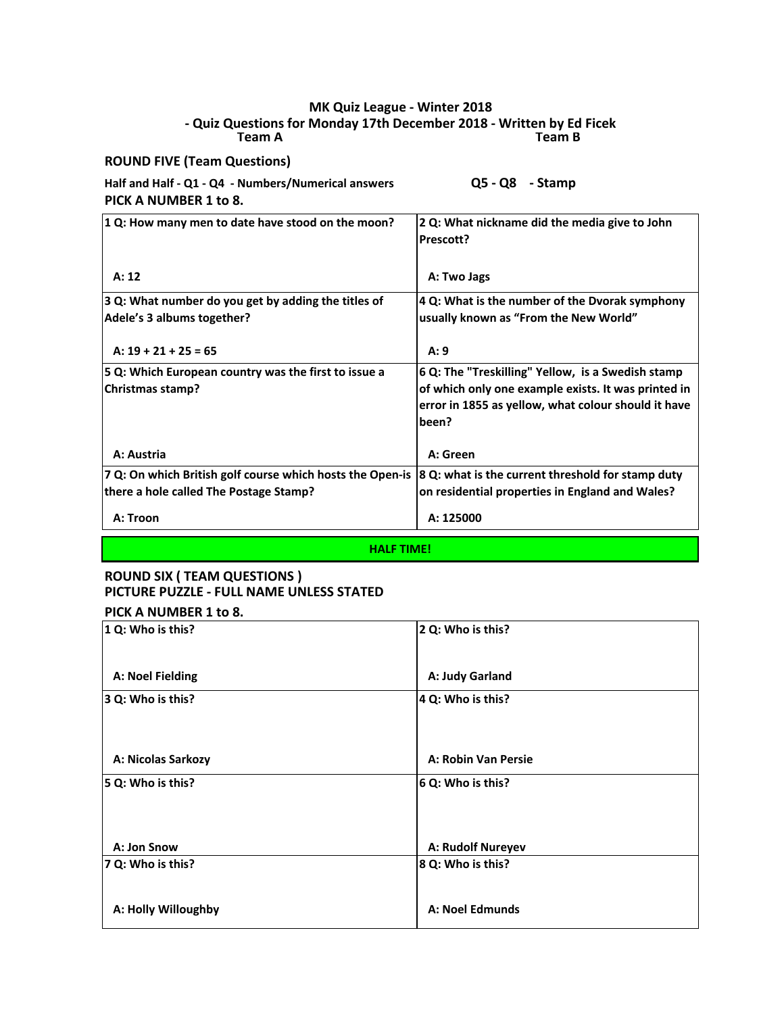#### **Team A Team B - Quiz Questions for Monday 17th December 2018 - Written by Ed Ficek MK Quiz League - Winter 2018**

**ROUND FIVE (Team Questions)**

| Half and Half - Q1 - Q4 - Numbers/Numerical answers | $Q5 - Q8 -$ Stamp |  |
|-----------------------------------------------------|-------------------|--|
| PICK A NUMBER 1 to 8.                               |                   |  |
|                                                     |                   |  |

| 1 Q: How many men to date have stood on the moon?                                                           | 2 Q: What nickname did the media give to John<br>Prescott?                                                                                                               |  |
|-------------------------------------------------------------------------------------------------------------|--------------------------------------------------------------------------------------------------------------------------------------------------------------------------|--|
| A: 12                                                                                                       | A: Two Jags                                                                                                                                                              |  |
| 3 Q: What number do you get by adding the titles of<br>Adele's 3 albums together?<br>$A: 19 + 21 + 25 = 65$ | 4 Q: What is the number of the Dvorak symphony<br>usually known as "From the New World"<br>A:9                                                                           |  |
| 5 Q: Which European country was the first to issue a<br><b>Christmas stamp?</b>                             | 6 Q: The "Treskilling" Yellow, is a Swedish stamp<br>of which only one example exists. It was printed in<br>error in 1855 as yellow, what colour should it have<br>been? |  |
| A: Austria                                                                                                  | A: Green                                                                                                                                                                 |  |
| 7 Q: On which British golf course which hosts the Open-is<br>there a hole called The Postage Stamp?         | 8 Q: what is the current threshold for stamp duty<br>on residential properties in England and Wales?                                                                     |  |
| A: Troon                                                                                                    | A: 125000                                                                                                                                                                |  |

**HALF TIME!**

## **ROUND SIX ( TEAM QUESTIONS ) PICTURE PUZZLE - FULL NAME UNLESS STATED**

## **PICK A NUMBER 1 to 8.**

| 1 Q: Who is this?   | 2 Q: Who is this?   |
|---------------------|---------------------|
| A: Noel Fielding    | A: Judy Garland     |
| 3 Q: Who is this?   | 4 Q: Who is this?   |
|                     |                     |
| A: Nicolas Sarkozy  | A: Robin Van Persie |
| 5 Q: Who is this?   | 6 Q: Who is this?   |
|                     |                     |
|                     |                     |
| A: Jon Snow         | A: Rudolf Nureyev   |
| 7 Q: Who is this?   | 8 Q: Who is this?   |
|                     |                     |
| A: Holly Willoughby | A: Noel Edmunds     |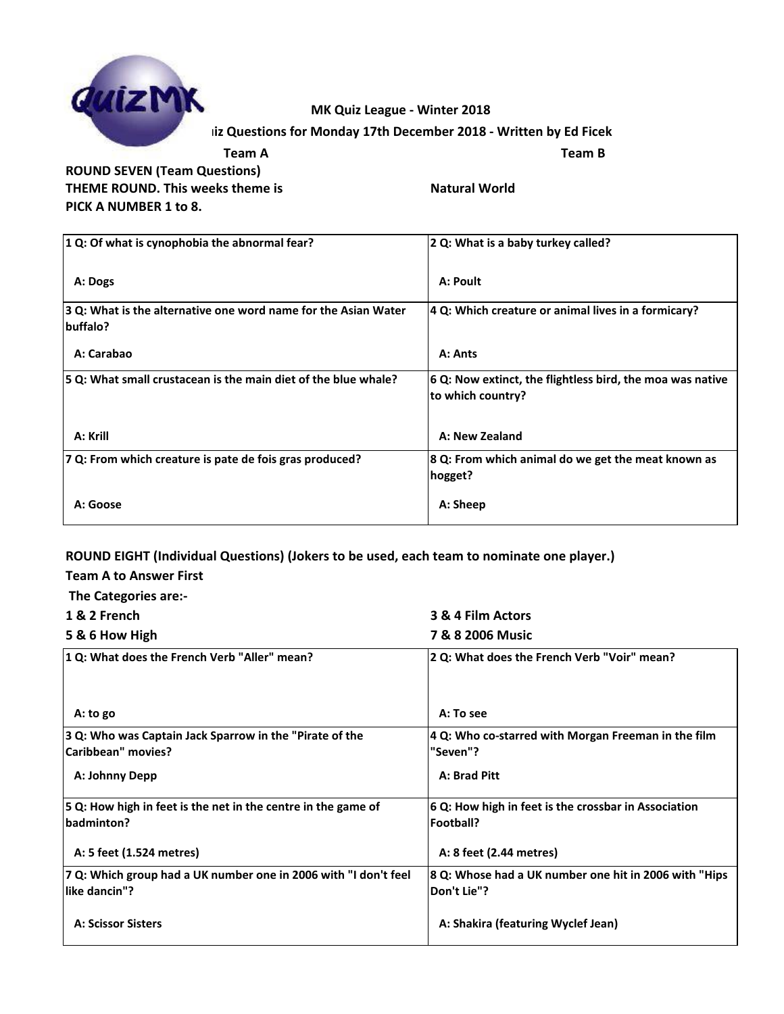

### **MK Quiz League - Winter 2018**

### **Iiz Questions for Monday 17th December 2018 - Written by Ed Ficek**

**Team A Team B ROUND SEVEN (Team Questions) THEME ROUND. This weeks theme is <b>NATURE WORK** Natural World **PICK A NUMBER 1 to 8.**

| $\vert$ 1 Q: Of what is cynophobia the abnormal fear?                             | 2 Q: What is a baby turkey called?                                             |
|-----------------------------------------------------------------------------------|--------------------------------------------------------------------------------|
| A: Dogs                                                                           | A: Poult                                                                       |
| 3 Q: What is the alternative one word name for the Asian Water<br><b>buffalo?</b> | 4 Q: Which creature or animal lives in a formicary?                            |
| A: Carabao                                                                        | A: Ants                                                                        |
| 5 Q: What small crustacean is the main diet of the blue whale?                    | 6 Q: Now extinct, the flightless bird, the moa was native<br>to which country? |
| A: Krill                                                                          | A: New Zealand                                                                 |
| 7 Q: From which creature is pate de fois gras produced?                           | 8 Q: From which animal do we get the meat known as<br>hogget?                  |
| A: Goose                                                                          | A: Sheep                                                                       |

#### **ROUND EIGHT (Individual Questions) (Jokers to be used, each team to nominate one player.)**

#### **Team A to Answer First**

| The Categories are:-                                                                 |                                                                       |
|--------------------------------------------------------------------------------------|-----------------------------------------------------------------------|
| 1 & 2 French                                                                         | 3 & 4 Film Actors                                                     |
| 5 & 6 How High                                                                       | 7 & 8 2006 Music                                                      |
| 1 Q: What does the French Verb "Aller" mean?                                         | 2 Q: What does the French Verb "Voir" mean?                           |
| A: to go                                                                             | A: To see                                                             |
| 3 Q: Who was Captain Jack Sparrow in the "Pirate of the<br><b>Caribbean"</b> movies? | 4 Q: Who co-starred with Morgan Freeman in the film<br>"Seven"?       |
| A: Johnny Depp                                                                       | A: Brad Pitt                                                          |
| 5 Q: How high in feet is the net in the centre in the game of<br>badminton?          | 6 Q: How high in feet is the crossbar in Association<br>Football?     |
| A: 5 feet (1.524 metres)                                                             | A: 8 feet (2.44 metres)                                               |
| 7 Q: Which group had a UK number one in 2006 with "I don't feel<br>llike dancin"?    | 8 Q: Whose had a UK number one hit in 2006 with "Hips"<br>Don't Lie"? |
| <b>A: Scissor Sisters</b>                                                            | A: Shakira (featuring Wyclef Jean)                                    |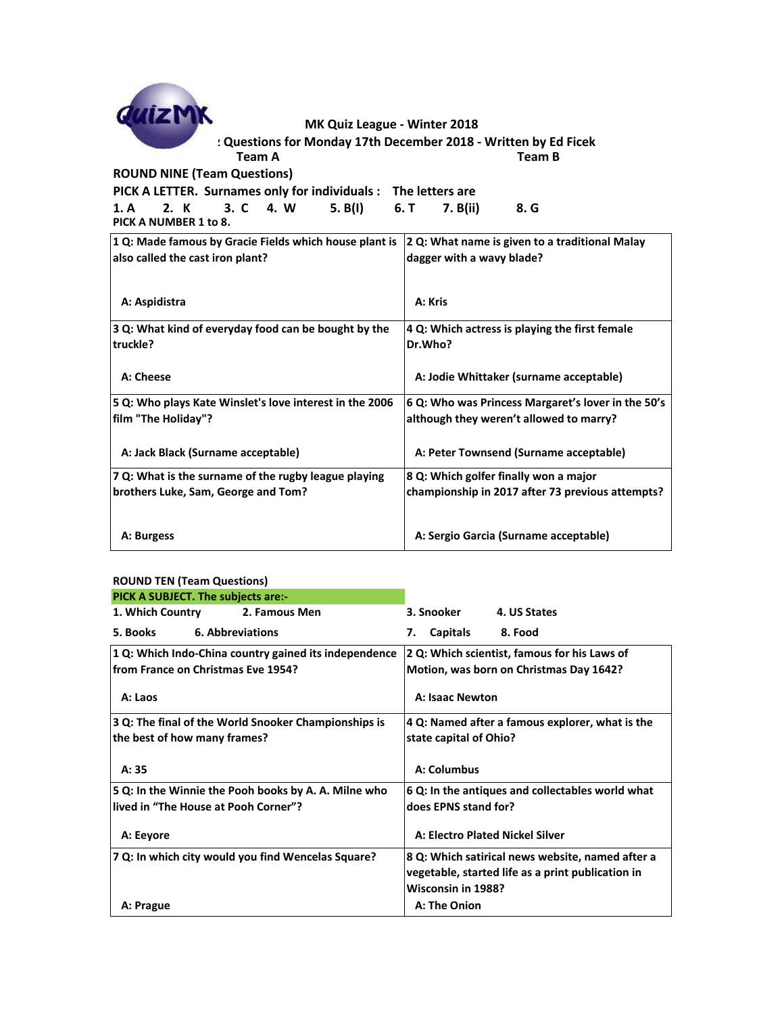| GuizM                                                                                                          |        | MK Quiz League - Winter 2018 |               |                                                                 |  |
|----------------------------------------------------------------------------------------------------------------|--------|------------------------------|---------------|-----------------------------------------------------------------|--|
|                                                                                                                |        |                              |               | : Questions for Monday 17th December 2018 - Written by Ed Ficek |  |
|                                                                                                                | Team A |                              |               | Team B                                                          |  |
| <b>ROUND NINE (Team Questions)</b>                                                                             |        |                              |               |                                                                 |  |
| PICK A LETTER. Surnames only for individuals : The letters are                                                 |        |                              |               |                                                                 |  |
| 1. A 2. K 3. C 4. W                                                                                            |        | 5. B(I)                      | 6. T 7. B(ii) | 8. G                                                            |  |
| PICK A NUMBER 1 to 8.                                                                                          |        |                              |               |                                                                 |  |
| $\vert$ 1.0: Made famous by Gracie Fields which house plant is $\vert$ 2.0: What name is given to a traditions |        |                              |               |                                                                 |  |

| 1 Q: Made famous by Gracie Fields which house plant is  | 2 Q: What name is given to a traditional Malay     |  |
|---------------------------------------------------------|----------------------------------------------------|--|
| also called the cast iron plant?                        | dagger with a wavy blade?                          |  |
|                                                         |                                                    |  |
| A: Aspidistra                                           | A: Kris                                            |  |
| 3 Q: What kind of everyday food can be bought by the    | 4 Q: Which actress is playing the first female     |  |
| truckle?                                                | Dr.Who?                                            |  |
|                                                         |                                                    |  |
| A: Cheese                                               | A: Jodie Whittaker (surname acceptable)            |  |
| 5 Q: Who plays Kate Winslet's love interest in the 2006 | 6 Q: Who was Princess Margaret's lover in the 50's |  |
| film "The Holiday"?                                     | although they weren't allowed to marry?            |  |
|                                                         |                                                    |  |
| A: Jack Black (Surname acceptable)                      | A: Peter Townsend (Surname acceptable)             |  |
| 7 Q: What is the surname of the rugby league playing    | 8 Q: Which golfer finally won a major              |  |
| brothers Luke, Sam, George and Tom?                     | championship in 2017 after 73 previous attempts?   |  |
|                                                         |                                                    |  |
| A: Burgess                                              | A: Sergio Garcia (Surname acceptable)              |  |

#### **ROUND TEN (Team Questions)**

| PICK A SUBJECT. The subjects are:-                    |                                                   |
|-------------------------------------------------------|---------------------------------------------------|
| 1. Which Country<br>2. Famous Men                     | 3. Snooker<br>4. US States                        |
| <b>6. Abbreviations</b><br>5. Books                   | 7. Capitals<br>8. Food                            |
| 1 Q: Which Indo-China country gained its independence | 2 Q: Which scientist, famous for his Laws of      |
| lfrom France on Christmas Eve 1954?                   | Motion, was born on Christmas Day 1642?           |
| A: Laos                                               | <b>A: Isaac Newton</b>                            |
| 3 Q: The final of the World Snooker Championships is  | 4 Q: Named after a famous explorer, what is the   |
| the best of how many frames?                          | state capital of Ohio?                            |
|                                                       |                                                   |
| A: 35                                                 | A: Columbus                                       |
| 5 Q: In the Winnie the Pooh books by A. A. Milne who  | 6 Q: In the antiques and collectables world what  |
| llived in "The House at Pooh Corner"?                 | does EPNS stand for?                              |
| A: Eeyore                                             | A: Electro Plated Nickel Silver                   |
| 7 Q: In which city would you find Wencelas Square?    | 8 Q: Which satirical news website, named after a  |
|                                                       | vegetable, started life as a print publication in |
|                                                       | Wisconsin in 1988?                                |
| A: Prague                                             | A: The Onion                                      |